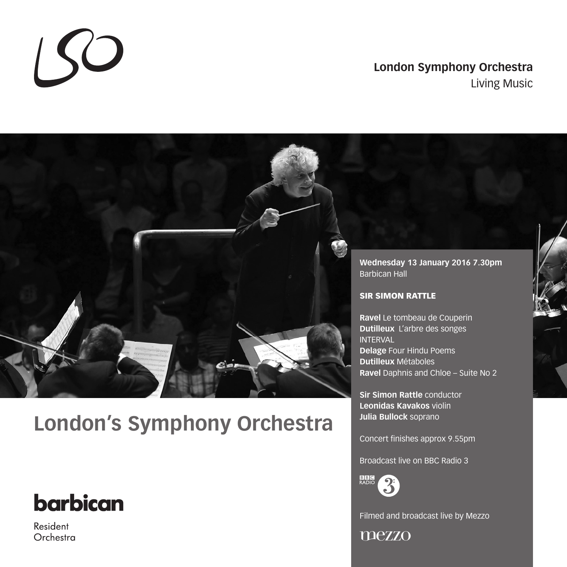### **London Symphony Orchestra** Living Music



# **London's Symphony Orchestra**

# **barbican**

 $SO$ 

Resident Orchestra **Sir Simon Rattle** conductor **Leonidas Kavakos** violin **Julia Bullock** soprano

Concert finishes approx 9.55pm

Broadcast live on BBC Radio 3



Filmed and broadcast live by Mezzo

mezzo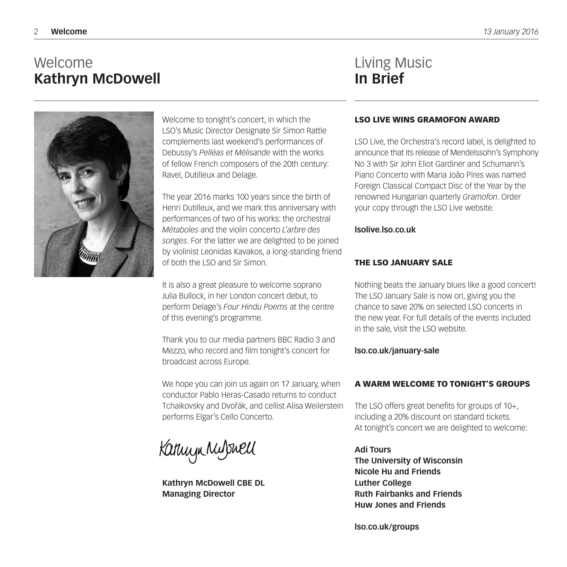## Welcome **Kathryn McDowell**

Welcome to tonight's concert, in which the LSO's Music Director Designate Sir Simon Rattle complements last weekend's performances of Debussy's *Pelléas et Mélisande* with the works of fellow French composers of the 20th century: Ravel, Dutilleux and Delage.

The year 2016 marks 100 years since the birth of Henri Dutilleux, and we mark this anniversary with performances of two of his works: the orchestral *Métaboles* and the violin concerto *L'arbre des songes*. For the latter we are delighted to be joined by violinist Leonidas Kavakos, a long-standing friend of both the LSO and Sir Simon.

It is also a great pleasure to welcome soprano Julia Bullock, in her London concert debut, to perform Delage's *Four Hindu Poems* at the centre of this evening's programme.

Thank you to our media partners BBC Radio 3 and Mezzo, who record and film tonight's concert for broadcast across Europe.

We hope you can join us again on 17 January, when conductor Pablo Heras-Casado returns to conduct Tchaikovsky and Dvořák, and cellist Alisa Weilerstein performs Elgar's Cello Concerto.

Kannyn Mulswell

**Kathryn McDowell CBE DL Managing Director**

### Living Music **In Brief**

#### LSO LIVE WINS GRAMOFON AWARD

LSO Live, the Orchestra's record label, is delighted to announce that its release of Mendelssohn's Symphony No 3 with Sir John Eliot Gardiner and Schumann's Piano Concerto with Maria João Pires was named Foreign Classical Compact Disc of the Year by the renowned Hungarian quarterly *Gramofon*. Order your copy through the LSO Live website.

#### **lsolive.lso.co.uk**

#### THE LSO JANUARY SALE

Nothing beats the January blues like a good concert! The LSO January Sale is now on, giving you the chance to save 20% on selected LSO concerts in the new year. For full details of the events included in the sale, visit the LSO website.

#### **lso.co.uk/january-sale**

#### A WARM WELCOME TO TONIGHT'S GROUPS

The LSO offers great benefits for groups of 10+, including a 20% discount on standard tickets. At tonight's concert we are delighted to welcome:

**Adi Tours The University of Wisconsin Nicole Hu and Friends Luther College Ruth Fairbanks and Friends Huw Jones and Friends**

**lso.co.uk/groups**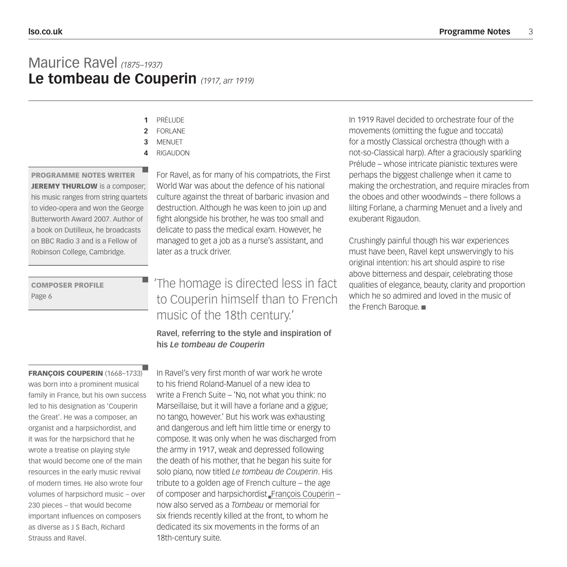### Maurice Ravel *(1875–1937)* **Le tombeau de Couperin** *(1917, arr 1919)*

- PRÉLUDE **1**
- FORLANE **2**
- MENUET **3**
- RIGAUDON **4**

#### PROGRAMME NOTES WRITER

JEREMY THURLOW is a composer; his music ranges from string quartets to video-opera and won the George Butterworth Award 2007. Author of a book on Dutilleux, he broadcasts on BBC Radio 3 and is a Fellow of Robinson College, Cambridge.

COMPOSER PROFILE Page 6

#### FRANÇOIS COUPERIN (1668-1733)

was born into a prominent musical family in France, but his own success led to his designation as 'Couperin the Great'. He was a composer, an organist and a harpsichordist, and it was for the harpsichord that he wrote a treatise on playing style that would become one of the main resources in the early music revival of modern times. He also wrote four volumes of harpsichord music – over 230 pieces – that would become important influences on composers as diverse as J S Bach, Richard Strauss and Ravel.

For Ravel, as for many of his compatriots, the First World War was about the defence of his national culture against the threat of barbaric invasion and destruction. Although he was keen to join up and fight alongside his brother, he was too small and delicate to pass the medical exam. However, he managed to get a job as a nurse's assistant, and later as a truck driver.

### 'The homage is directed less in fact to Couperin himself than to French music of the 18th century.'

#### **Ravel, referring to the style and inspiration of his** *Le tombeau de Couperin*

In Ravel's very first month of war work he wrote to his friend Roland-Manuel of a new idea to write a French Suite – 'No, not what you think: no Marseillaise, but it will have a forlane and a gigue; no tango, however.' But his work was exhausting and dangerous and left him little time or energy to compose. It was only when he was discharged from the army in 1917, weak and depressed following the death of his mother, that he began his suite for solo piano, now titled *Le tombeau de Couperin*. His tribute to a golden age of French culture – the age of composer and harpsichordist\_François Couperin – now also served as a *Tombeau* or memorial for six friends recently killed at the front, to whom he dedicated its six movements in the forms of an 18th-century suite.

In 1919 Ravel decided to orchestrate four of the movements (omitting the fugue and toccata) for a mostly Classical orchestra (though with a not-so-Classical harp). After a graciously sparkling Prélude – whose intricate pianistic textures were perhaps the biggest challenge when it came to making the orchestration, and require miracles from the oboes and other woodwinds – there follows a lilting Forlane, a charming Menuet and a lively and exuberant Rigaudon.

Crushingly painful though his war experiences must have been, Ravel kept unswervingly to his original intention: his art should aspire to rise above bitterness and despair, celebrating those qualities of elegance, beauty, clarity and proportion which he so admired and loved in the music of the French Baroque.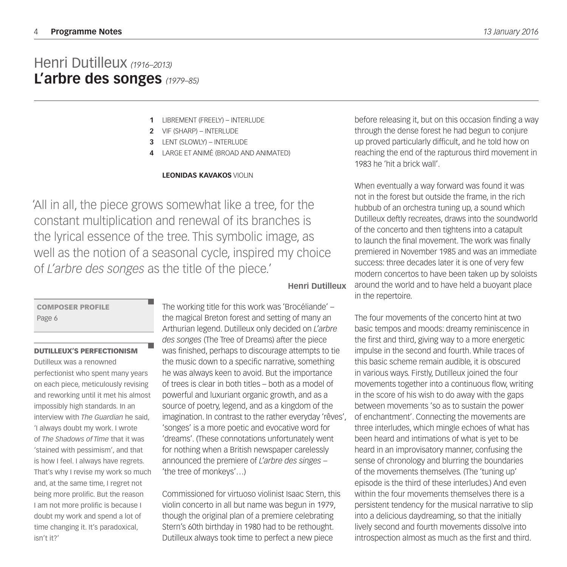## Henri Dutilleux *(1916–2013)* **L'arbre des songes** *(1979–85)*

- LIBREMENT (FREELY) INTERLUDE **1**
- VIF (SHARP) INTERLUDE **2**
- LENT (SLOWLY) INTERLUDE **3**
- LARGE ET ANIMÉ (BROAD AND ANIMATED) **4**

#### **LEONIDAS KAVAKOS** VIOLIN

'All in all, the piece grows somewhat like a tree, for the constant multiplication and renewal of its branches is the lyrical essence of the tree. This symbolic image, as well as the notion of a seasonal cycle, inspired my choice of *L'arbre des songes* as the title of the piece.'

**Henri Dutilleux**

#### COMPOSER PROFILE Page 6

#### DUTILLEUX'S PERFECTIONISM

Dutilleux was a renowned perfectionist who spent many years on each piece, meticulously revising and reworking until it met his almost impossibly high standards. In an interview with *The Guardian* he said, 'I always doubt my work. I wrote of *The Shadows of Time* that it was 'stained with pessimism', and that is how I feel. I always have regrets. That's why I revise my work so much and, at the same time, I regret not being more prolific. But the reason I am not more prolific is because I doubt my work and spend a lot of time changing it. It's paradoxical, isn't it?'

The working title for this work was 'Brocéliande' – the magical Breton forest and setting of many an Arthurian legend. Dutilleux only decided on *L'arbre des songes* (The Tree of Dreams) after the piece was finished, perhaps to discourage attempts to tie the music down to a specific narrative, something he was always keen to avoid. But the importance of trees is clear in both titles – both as a model of powerful and luxuriant organic growth, and as a source of poetry, legend, and as a kingdom of the imagination. In contrast to the rather everyday 'rêves', 'songes' is a more poetic and evocative word for 'dreams'. (These connotations unfortunately went for nothing when a British newspaper carelessly announced the premiere of *L'arbre des singes* – 'the tree of monkeys'…)

Commissioned for virtuoso violinist Isaac Stern, this violin concerto in all but name was begun in 1979, though the original plan of a premiere celebrating Stern's 60th birthday in 1980 had to be rethought. Dutilleux always took time to perfect a new piece

before releasing it, but on this occasion finding a way through the dense forest he had begun to conjure up proved particularly difficult, and he told how on reaching the end of the rapturous third movement in 1983 he 'hit a brick wall'.

When eventually a way forward was found it was not in the forest but outside the frame, in the rich hubbub of an orchestra tuning up, a sound which Dutilleux deftly recreates, draws into the soundworld of the concerto and then tightens into a catapult to launch the final movement. The work was finally premiered in November 1985 and was an immediate success: three decades later it is one of very few modern concertos to have been taken up by soloists around the world and to have held a buoyant place in the repertoire.

The four movements of the concerto hint at two basic tempos and moods: dreamy reminiscence in the first and third, giving way to a more energetic impulse in the second and fourth. While traces of this basic scheme remain audible, it is obscured in various ways. Firstly, Dutilleux joined the four movements together into a continuous flow, writing in the score of his wish to do away with the gaps between movements 'so as to sustain the power of enchantment'. Connecting the movements are three interludes, which mingle echoes of what has been heard and intimations of what is yet to be heard in an improvisatory manner, confusing the sense of chronology and blurring the boundaries of the movements themselves. (The 'tuning up' episode is the third of these interludes.) And even within the four movements themselves there is a persistent tendency for the musical narrative to slip into a delicious daydreaming, so that the initially lively second and fourth movements dissolve into introspection almost as much as the first and third.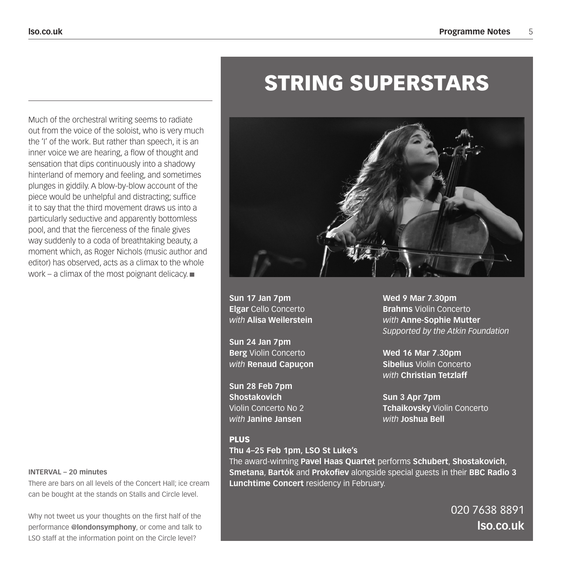### Much of the orchestral writing seems to radiate out from the voice of the soloist, who is very much the 'I' of the work. But rather than speech, it is an inner voice we are hearing, a flow of thought and sensation that dips continuously into a shadowy hinterland of memory and feeling, and sometimes plunges in giddily. A blow-by-blow account of the piece would be unhelpful and distracting; suffice it to say that the third movement draws us into a particularly seductive and apparently bottomless pool, and that the fierceness of the finale gives way suddenly to a coda of breathtaking beauty, a moment which, as Roger Nichols (music author and editor) has observed, acts as a climax to the whole work – a climax of the most poignant delicacy.  $\blacksquare$

**Sun 17 Jan 7pm Elgar** Cello Concerto *with* **Alisa Weilerstein**

**Sun 24 Jan 7pm Berg** Violin Concerto *with* **Renaud Capuçon**

**Sun 28 Feb 7pm Shostakovich** Violin Concerto No 2 *with* **Janine Jansen**

**Wed 9 Mar 7.30pm Brahms** Violin Concerto *with* **Anne-Sophie Mutter** *Supported by the Atkin Foundation*

**Wed 16 Mar 7.30pm Sibelius** Violin Concerto *with* **Christian Tetzlaff**

**Sun 3 Apr 7pm Tchaikovsky** Violin Concerto *with* **Joshua Bell**

#### PLUS

**Thu 4–25 Feb 1pm, LSO St Luke's**

The award-winning **Pavel Haas Quartet** performs **Schubert**, **Shostakovich**, **Smetana**, **Bartók** and **Prokofiev** alongside special guests in their **BBC Radio 3 Lunchtime Concert** residency in February.

> 020 7638 8891 **lso.co.uk**

### **INTERVAL – 20 minutes**

There are bars on all levels of the Concert Hall; ice cream can be bought at the stands on Stalls and Circle level.

Why not tweet us your thoughts on the first half of the performance **@londonsymphony**, or come and talk to LSO staff at the information point on the Circle level?

# STRING SUPERSTARS

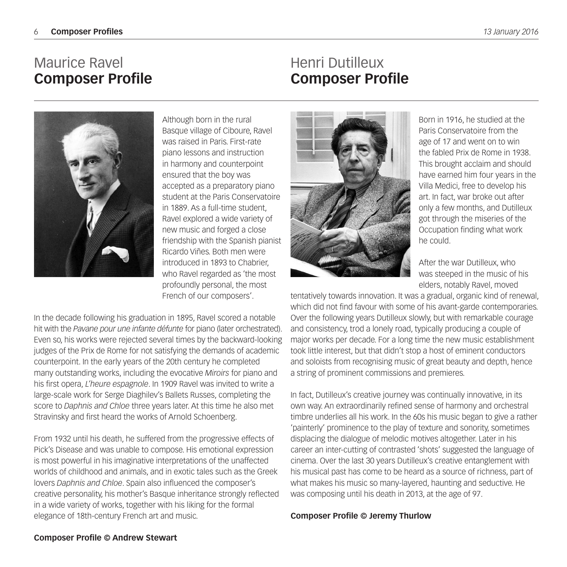## Maurice Ravel **Composer Profile**

### Henri Dutilleux **Composer Profile**



Although born in the rural Basque village of Ciboure, Ravel was raised in Paris. First-rate piano lessons and instruction in harmony and counterpoint ensured that the boy was accepted as a preparatory piano student at the Paris Conservatoire in 1889. As a full-time student, Ravel explored a wide variety of new music and forged a close friendship with the Spanish pianist Ricardo Viñes. Both men were introduced in 1893 to Chabrier, who Ravel regarded as 'the most profoundly personal, the most French of our composers'.

In the decade following his graduation in 1895, Ravel scored a notable hit with the *Pavane pour une infante défunte* for piano (later orchestrated). Even so, his works were rejected several times by the backward-looking judges of the Prix de Rome for not satisfying the demands of academic counterpoint. In the early years of the 20th century he completed many outstanding works, including the evocative *Miroirs* for piano and his first opera, *L'heure espagnole*. In 1909 Ravel was invited to write a large-scale work for Serge Diaghilev's Ballets Russes, completing the score to *Daphnis and Chloe* three years later. At this time he also met Stravinsky and first heard the works of Arnold Schoenberg.

From 1932 until his death, he suffered from the progressive effects of Pick's Disease and was unable to compose. His emotional expression is most powerful in his imaginative interpretations of the unaffected worlds of childhood and animals, and in exotic tales such as the Greek lovers *Daphnis and Chloe*. Spain also influenced the composer's creative personality, his mother's Basque inheritance strongly reflected in a wide variety of works, together with his liking for the formal elegance of 18th-century French art and music.



Born in 1916, he studied at the Paris Conservatoire from the age of 17 and went on to win the fabled Prix de Rome in 1938. This brought acclaim and should have earned him four years in the Villa Medici, free to develop his art. In fact, war broke out after only a few months, and Dutilleux got through the miseries of the Occupation finding what work he could.

After the war Dutilleux, who was steeped in the music of his elders, notably Ravel, moved

tentatively towards innovation. It was a gradual, organic kind of renewal, which did not find favour with some of his avant-garde contemporaries. Over the following years Dutilleux slowly, but with remarkable courage and consistency, trod a lonely road, typically producing a couple of major works per decade. For a long time the new music establishment took little interest, but that didn't stop a host of eminent conductors and soloists from recognising music of great beauty and depth, hence a string of prominent commissions and premieres.

In fact, Dutilleux's creative journey was continually innovative, in its own way. An extraordinarily refined sense of harmony and orchestral timbre underlies all his work. In the 60s his music began to give a rather 'painterly' prominence to the play of texture and sonority, sometimes displacing the dialogue of melodic motives altogether. Later in his career an inter-cutting of contrasted 'shots' suggested the language of cinema. Over the last 30 years Dutilleux's creative entanglement with his musical past has come to be heard as a source of richness, part of what makes his music so many-layered, haunting and seductive. He was composing until his death in 2013, at the age of 97.

#### **Composer Profile © Jeremy Thurlow**

#### **Composer Profile © Andrew Stewart**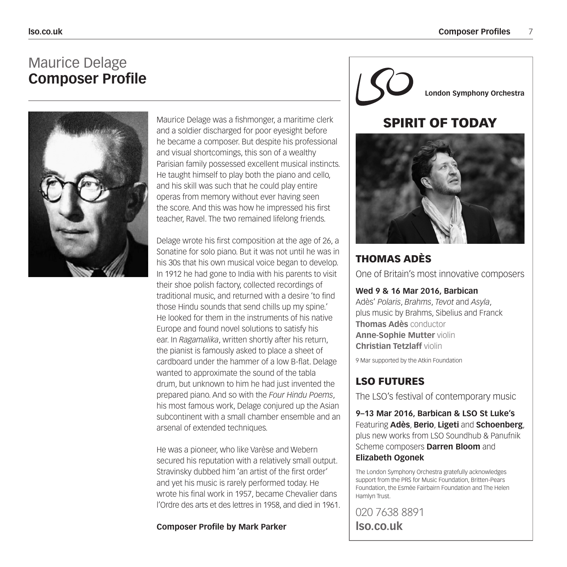### Maurice Delage **Composer Profile**



Maurice Delage was a fishmonger, a maritime clerk and a soldier discharged for poor eyesight before he became a composer. But despite his professional and visual shortcomings, this son of a wealthy Parisian family possessed excellent musical instincts. He taught himself to play both the piano and cello, and his skill was such that he could play entire operas from memory without ever having seen the score. And this was how he impressed his first teacher, Ravel. The two remained lifelong friends.

Delage wrote his first composition at the age of 26, a Sonatine for solo piano. But it was not until he was in his 30s that his own musical voice began to develop. In 1912 he had gone to India with his parents to visit their shoe polish factory, collected recordings of traditional music, and returned with a desire 'to find those Hindu sounds that send chills up my spine.' He looked for them in the instruments of his native Europe and found novel solutions to satisfy his ear. In *Ragamalika*, written shortly after his return, the pianist is famously asked to place a sheet of cardboard under the hammer of a low B-flat. Delage wanted to approximate the sound of the tabla drum, but unknown to him he had just invented the prepared piano. And so with the *Four Hindu Poems*, his most famous work, Delage conjured up the Asian subcontinent with a small chamber ensemble and an arsenal of extended techniques.

He was a pioneer, who like Varèse and Webern secured his reputation with a relatively small output. Stravinsky dubbed him 'an artist of the first order' and yet his music is rarely performed today. He wrote his final work in 1957, became Chevalier dans l'Ordre des arts et des lettres in 1958, and died in 1961.

#### **Composer Profile by Mark Parker**

**London Symphony Orchestra**

### SPIRIT OF TODAY



### THOMAS ADÈS

One of Britain's most innovative composers

#### **Wed 9 & 16 Mar 2016, Barbican**

Adès' *Polaris*, *Brahms*, *Tevot* and *Asyla*, plus music by Brahms, Sibelius and Franck **Thomas Adès** conductor **Anne-Sophie Mutter** violin **Christian Tetzlaff** violin

9 Mar supported by the Atkin Foundation

### LSO FUTURES

The LSO's festival of contemporary music

**9–13 Mar 2016, Barbican & LSO St Luke's** Featuring **Adès**, **Berio**, **Ligeti** and **Schoenberg**, plus new works from LSO Soundhub & Panufnik Scheme composers **Darren Bloom** and **Elizabeth Ogonek**

The London Symphony Orchestra gratefully acknowledges support from the PRS for Music Foundation, Britten-Pears Foundation, the Esmée Fairbairn Foundation and The Helen Hamlyn Trust.

020 7638 8891 **lso.co.uk**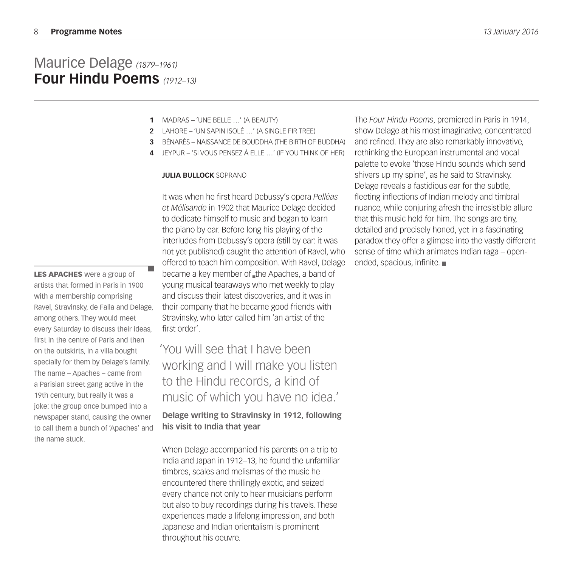### Maurice Delage *(1879–1961)* **Four Hindu Poems** *(1912–13)*

- MADRAS 'UNE BELLE …' (A BEAUTY) **1**
- LAHORE 'UN SAPIN ISOLÉ …' (A SINGLE FIR TREE) **2**
- BÉNARÈS NAISSANCE DE BOUDDHA (THE BIRTH OF BUDDHA) **3**
- JEYPUR 'SI VOUS PENSEZ À ELLE …' (IF YOU THINK OF HER) **4**

#### **JULIA BULLOCK** SOPRANO

It was when he first heard Debussy's opera *Pelléas et Mélisande* in 1902 that Maurice Delage decided to dedicate himself to music and began to learn the piano by ear. Before long his playing of the interludes from Debussy's opera (still by ear: it was not yet published) caught the attention of Ravel, who offered to teach him composition. With Ravel, Delage became a key member of the Apaches, a band of young musical tearaways who met weekly to play and discuss their latest discoveries, and it was in their company that he became good friends with Stravinsky, who later called him 'an artist of the first order'.

'You will see that I have been working and I will make you listen to the Hindu records, a kind of music of which you have no idea.'

**Delage writing to Stravinsky in 1912, following his visit to India that year**

When Delage accompanied his parents on a trip to India and Japan in 1912–13, he found the unfamiliar timbres, scales and melismas of the music he encountered there thrillingly exotic, and seized every chance not only to hear musicians perform but also to buy recordings during his travels. These experiences made a lifelong impression, and both Japanese and Indian orientalism is prominent throughout his oeuvre.

The *Four Hindu Poems*, premiered in Paris in 1914, show Delage at his most imaginative, concentrated and refined. They are also remarkably innovative, rethinking the European instrumental and vocal palette to evoke 'those Hindu sounds which send shivers up my spine', as he said to Stravinsky. Delage reveals a fastidious ear for the subtle, fleeting inflections of Indian melody and timbral nuance, while conjuring afresh the irresistible allure that this music held for him. The songs are tiny, detailed and precisely honed, yet in a fascinating paradox they offer a glimpse into the vastly different sense of time which animates Indian raga – openended, spacious, infinite.

LES APACHES were a group of artists that formed in Paris in 1900 with a membership comprising Ravel, Stravinsky, de Falla and Delage, among others. They would meet every Saturday to discuss their ideas, first in the centre of Paris and then on the outskirts, in a villa bought specially for them by Delage's family. The name – Apaches – came from a Parisian street gang active in the 19th century, but really it was a joke: the group once bumped into a newspaper stand, causing the owner to call them a bunch of 'Apaches' and the name stuck.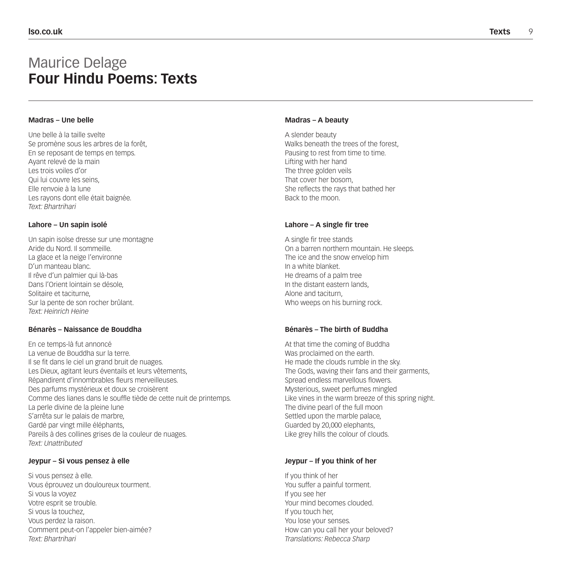### Maurice Delage **Four Hindu Poems: Texts**

#### **Madras – Une belle**

Une belle à la taille svelte Se promène sous les arbres de la forêt, En se reposant de temps en temps. Ayant relevé de la main Les trois voiles d'or Qui lui couvre les seins, Elle renvoie à la lune Les rayons dont elle était baignée. *Text: Bhartrihari*

#### **Lahore – Un sapin isolé**

Un sapin isolse dresse sur une montagne Aride du Nord. Il sommeille. La glace et la neige l'environne D'un manteau blanc. Il rêve d'un palmier qui là-bas Dans l'Orient lointain se désole, Solitaire et taciturne, Sur la pente de son rocher brûlant. *Text: Heinrich Heine*

#### **Bénarès – Naissance de Bouddha**

En ce temps-là fut annoncé La venue de Bouddha sur la terre. Il se fit dans le ciel un grand bruit de nuages. Les Dieux, agitant leurs éventails et leurs vêtements, Répandirent d'innombrables fleurs merveilleuses. Des parfums mystérieux et doux se croisèrent Comme des lianes dans le souffle tiède de cette nuit de printemps. La perle divine de la pleine lune S'arrêta sur le palais de marbre, Gardé par vingt mille éléphants, Pareils à des collines grises de la couleur de nuages. *Text: Unattributed*

#### **Jeypur – Si vous pensez à elle**

Si vous pensez à elle. Vous éprouvez un douloureux tourment. Si vous la voyez Votre esprit se trouble. Si vous la touchez, Vous perdez la raison. Comment peut-on l'appeler bien-aimée? *Text: Bhartrihari*

#### **Madras – A beauty**

A slender beauty Walks beneath the trees of the forest, Pausing to rest from time to time. Lifting with her hand The three golden veils That cover her bosom, She reflects the rays that bathed her Back to the moon.

#### **Lahore – A single fir tree**

A single fir tree stands On a barren northern mountain. He sleeps. The ice and the snow envelop him In a white blanket. He dreams of a palm tree In the distant eastern lands, Alone and taciturn, Who weeps on his burning rock.

#### **Bénarès – The birth of Buddha**

At that time the coming of Buddha Was proclaimed on the earth. He made the clouds rumble in the sky. The Gods, waving their fans and their garments, Spread endless marvellous flowers. Mysterious, sweet perfumes mingled Like vines in the warm breeze of this spring night. The divine pearl of the full moon Settled upon the marble palace. Guarded by 20,000 elephants, Like grey hills the colour of clouds.

#### **Jeypur – If you think of her**

If you think of her You suffer a painful torment. If you see her Your mind becomes clouded. If you touch her, You lose your senses. How can you call her your beloved? *Translations: Rebecca Sharp*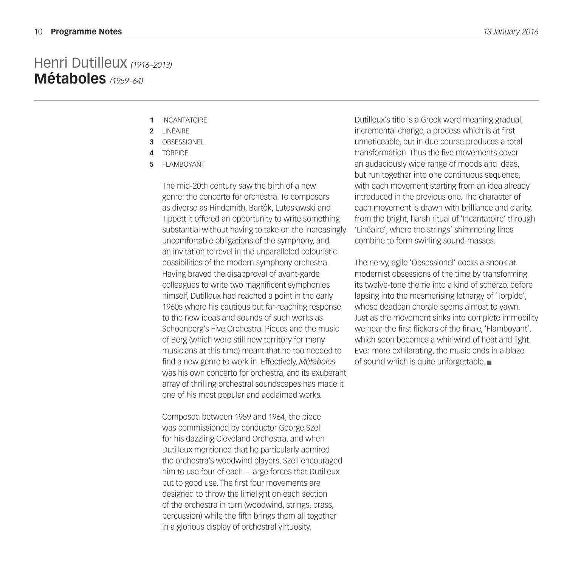### Henri Dutilleux *(1916–2013)* **Métaboles** *(1959–64)*

- 1 INCANTATOIRE
- LINÉAIRE **2**
- OBSESSIONEL **3**
- TORPIDE **4**
- FLAMBOYANT **5**

The mid-20th century saw the birth of a new genre: the concerto for orchestra. To composers as diverse as Hindemith, Bartók, Lutosławski and Tippett it offered an opportunity to write something substantial without having to take on the increasingly uncomfortable obligations of the symphony, and an invitation to revel in the unparalleled colouristic possibilities of the modern symphony orchestra. Having braved the disapproval of avant-garde colleagues to write two magnificent symphonies himself, Dutilleux had reached a point in the early 1960s where his cautious but far-reaching response to the new ideas and sounds of such works as Schoenberg's Five Orchestral Pieces and the music of Berg (which were still new territory for many musicians at this time) meant that he too needed to find a new genre to work in. Effectively, *Métaboles* was his own concerto for orchestra, and its exuberant array of thrilling orchestral soundscapes has made it one of his most popular and acclaimed works.

Composed between 1959 and 1964, the piece was commissioned by conductor George Szell for his dazzling Cleveland Orchestra, and when Dutilleux mentioned that he particularly admired the orchestra's woodwind players, Szell encouraged him to use four of each – large forces that Dutilleux put to good use. The first four movements are designed to throw the limelight on each section of the orchestra in turn (woodwind, strings, brass, percussion) while the fifth brings them all together in a glorious display of orchestral virtuosity.

Dutilleux's title is a Greek word meaning gradual, incremental change, a process which is at first unnoticeable, but in due course produces a total transformation. Thus the five movements cover an audaciously wide range of moods and ideas, but run together into one continuous sequence, with each movement starting from an idea already introduced in the previous one. The character of each movement is drawn with brilliance and clarity, from the bright, harsh ritual of 'Incantatoire' through 'Linéaire', where the strings' shimmering lines combine to form swirling sound-masses.

The nervy, agile 'Obsessionel' cocks a snook at modernist obsessions of the time by transforming its twelve-tone theme into a kind of scherzo, before lapsing into the mesmerising lethargy of 'Torpide', whose deadpan chorale seems almost to yawn. Just as the movement sinks into complete immobility we hear the first flickers of the finale, 'Flamboyant', which soon becomes a whirlwind of heat and light. Ever more exhilarating, the music ends in a blaze of sound which is quite unforgettable.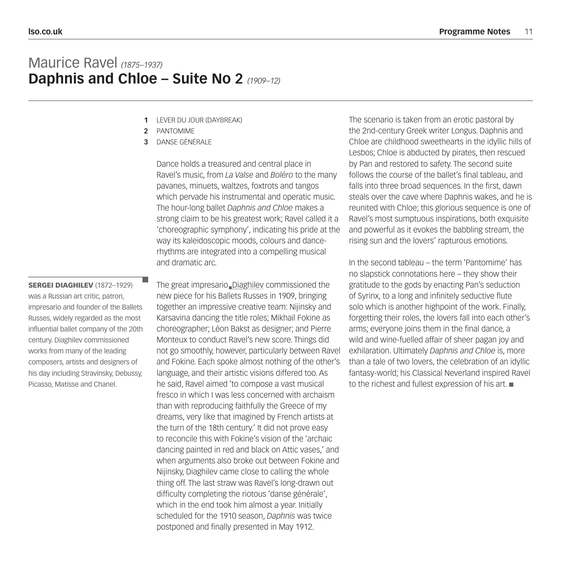### Maurice Ravel *(1875–1937)* **Daphnis and Chloe – Suite No 2** *(1909–12)*

- LEVER DU JOUR (DAYBREAK) **1**
- PANTOMIME **2**
- DANSE GÉNÉRALE **3**

Dance holds a treasured and central place in Ravel's music, from *La Valse* and *Boléro* to the many pavanes, minuets, waltzes, foxtrots and tangos which pervade his instrumental and operatic music. The hour-long ballet *Daphnis and Chloe* makes a strong claim to be his greatest work; Ravel called it a 'choreographic symphony', indicating his pride at the way its kaleidoscopic moods, colours and dancerhythms are integrated into a compelling musical and dramatic arc.

The great impresario Diaghilev commissioned the new piece for his Ballets Russes in 1909, bringing together an impressive creative team: Nijinsky and Karsavina dancing the title roles; Mikhail Fokine as choreographer; Léon Bakst as designer; and Pierre Monteux to conduct Ravel's new score. Things did not go smoothly, however, particularly between Ravel and Fokine. Each spoke almost nothing of the other's language, and their artistic visions differed too. As he said, Ravel aimed 'to compose a vast musical fresco in which I was less concerned with archaism than with reproducing faithfully the Greece of my dreams, very like that imagined by French artists at the turn of the 18th century.' It did not prove easy to reconcile this with Fokine's vision of the 'archaic dancing painted in red and black on Attic vases,' and when arguments also broke out between Fokine and Nijinsky, Diaghilev came close to calling the whole thing off. The last straw was Ravel's long-drawn out difficulty completing the riotous 'danse générale', which in the end took him almost a year. Initially scheduled for the 1910 season, *Daphnis* was twice postponed and finally presented in May 1912.

The scenario is taken from an erotic pastoral by the 2nd-century Greek writer Longus. Daphnis and Chloe are childhood sweethearts in the idyllic hills of Lesbos; Chloe is abducted by pirates, then rescued by Pan and restored to safety. The second suite follows the course of the ballet's final tableau, and falls into three broad sequences. In the first, dawn steals over the cave where Daphnis wakes, and he is reunited with Chloe; this glorious sequence is one of Ravel's most sumptuous inspirations, both exquisite and powerful as it evokes the babbling stream, the rising sun and the lovers' rapturous emotions.

In the second tableau – the term 'Pantomime' has no slapstick connotations here – they show their gratitude to the gods by enacting Pan's seduction of Syrinx, to a long and infinitely seductive flute solo which is another highpoint of the work. Finally, forgetting their roles, the lovers fall into each other's arms; everyone joins them in the final dance, a wild and wine-fuelled affair of sheer pagan joy and exhilaration. Ultimately *Daphnis and Chloe* is, more than a tale of two lovers, the celebration of an idyllic fantasy-world; his Classical Neverland inspired Ravel to the richest and fullest expression of his art.

SERGEI DIAGHILEV (1872–1929) was a Russian art critic, patron, impresario and founder of the Ballets Russes, widely regarded as the most influential ballet company of the 20th century. Diaghilev commissioned works from many of the leading composers, artists and designers of his day including Stravinsky, Debussy, Picasso, Matisse and Chanel.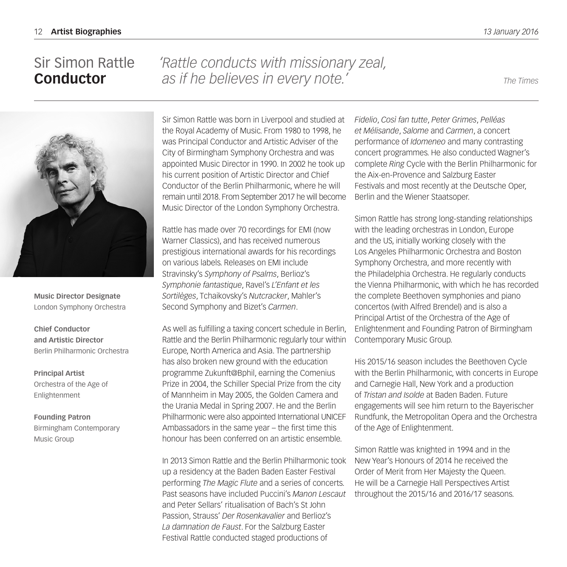### Sir Simon Rattle **Conductor**

*'Rattle conducts with missionary zeal, as if he believes in every note.' The Times*



**Music Director Designate** London Symphony Orchestra

**Chief Conductor and Artistic Director** Berlin Philharmonic Orchestra

**Principal Artist** Orchestra of the Age of Enlightenment

**Founding Patron** Birmingham Contemporary Music Group

Sir Simon Rattle was born in Liverpool and studied at the Royal Academy of Music. From 1980 to 1998, he was Principal Conductor and Artistic Adviser of the City of Birmingham Symphony Orchestra and was appointed Music Director in 1990. In 2002 he took up his current position of Artistic Director and Chief Conductor of the Berlin Philharmonic, where he will remain until 2018. From September 2017 he will become Music Director of the London Symphony Orchestra.

Rattle has made over 70 recordings for EMI (now Warner Classics), and has received numerous prestigious international awards for his recordings on various labels. Releases on EMI include Stravinsky's *Symphony of Psalms*, Berlioz's *Symphonie fantastique*, Ravel's *L'Enfant et les Sortilèges*, Tchaikovsky's *Nutcracker*, Mahler's Second Symphony and Bizet's *Carmen*.

As well as fulfilling a taxing concert schedule in Berlin, Rattle and the Berlin Philharmonic regularly tour within Europe, North America and Asia. The partnership has also broken new ground with the education programme Zukunft@Bphil, earning the Comenius Prize in 2004, the Schiller Special Prize from the city of Mannheim in May 2005, the Golden Camera and the Urania Medal in Spring 2007. He and the Berlin Philharmonic were also appointed International UNICEF Ambassadors in the same year – the first time this honour has been conferred on an artistic ensemble.

In 2013 Simon Rattle and the Berlin Philharmonic took up a residency at the Baden Baden Easter Festival performing *The Magic Flute* and a series of concerts. Past seasons have included Puccini's *Manon Lescaut* and Peter Sellars' ritualisation of Bach's St John Passion, Strauss' *Der Rosenkavalier* and Berlioz's *La damnation de Faust*. For the Salzburg Easter Festival Rattle conducted staged productions of

*Fidelio*, *Così fan tutte*, *Peter Grimes*, *Pelléas et Mélisande*, *Salome* and *Carmen*, a concert performance of *Idomeneo* and many contrasting concert programmes. He also conducted Wagner's complete *Ring* Cycle with the Berlin Philharmonic for the Aix-en-Provence and Salzburg Easter Festivals and most recently at the Deutsche Oper, Berlin and the Wiener Staatsoper.

Simon Rattle has strong long-standing relationships with the leading orchestras in London, Europe and the US, initially working closely with the Los Angeles Philharmonic Orchestra and Boston Symphony Orchestra, and more recently with the Philadelphia Orchestra. He regularly conducts the Vienna Philharmonic, with which he has recorded the complete Beethoven symphonies and piano concertos (with Alfred Brendel) and is also a Principal Artist of the Orchestra of the Age of Enlightenment and Founding Patron of Birmingham Contemporary Music Group.

His 2015/16 season includes the Beethoven Cycle with the Berlin Philharmonic, with concerts in Europe and Carnegie Hall, New York and a production of *Tristan and Isolde* at Baden Baden. Future engagements will see him return to the Bayerischer Rundfunk, the Metropolitan Opera and the Orchestra of the Age of Enlightenment.

Simon Rattle was knighted in 1994 and in the New Year's Honours of 2014 he received the Order of Merit from Her Majesty the Queen. He will be a Carnegie Hall Perspectives Artist throughout the 2015/16 and 2016/17 seasons.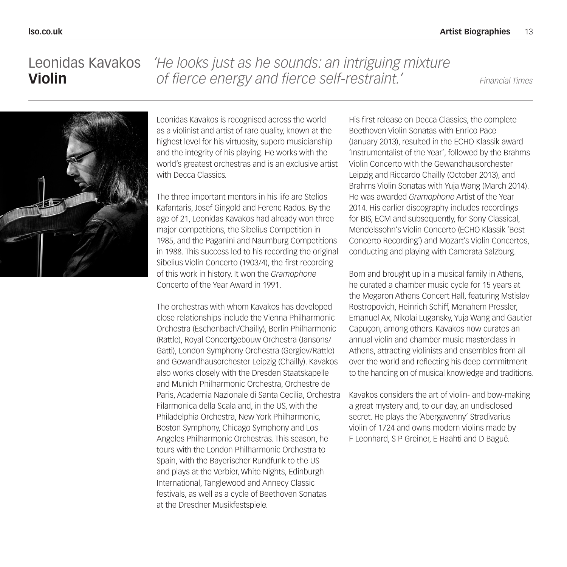#### Leonidas Kavakos **Violin** *'He looks just as he sounds: an intriguing mixture of fierce energy and fierce self-restraint.' Financial Times*



Leonidas Kavakos is recognised across the world as a violinist and artist of rare quality, known at the highest level for his virtuosity, superb musicianship and the integrity of his playing. He works with the world's greatest orchestras and is an exclusive artist with Decca Classics.

The three important mentors in his life are Stelios Kafantaris, Josef Gingold and Ferenc Rados. By the age of 21, Leonidas Kavakos had already won three major competitions, the Sibelius Competition in 1985, and the Paganini and Naumburg Competitions in 1988. This success led to his recording the original Sibelius Violin Concerto (1903/4), the first recording of this work in history. It won the *Gramophone* Concerto of the Year Award in 1991.

The orchestras with whom Kavakos has developed close relationships include the Vienna Philharmonic Orchestra (Eschenbach/Chailly), Berlin Philharmonic (Rattle), Royal Concertgebouw Orchestra (Jansons/ Gatti), London Symphony Orchestra (Gergiev/Rattle) and Gewandhausorchester Leipzig (Chailly). Kavakos also works closely with the Dresden Staatskapelle and Munich Philharmonic Orchestra, Orchestre de Paris, Academia Nazionale di Santa Cecilia, Orchestra Filarmonica della Scala and, in the US, with the Philadelphia Orchestra, New York Philharmonic, Boston Symphony, Chicago Symphony and Los Angeles Philharmonic Orchestras. This season, he tours with the London Philharmonic Orchestra to Spain, with the Bayerischer Rundfunk to the US and plays at the Verbier, White Nights, Edinburgh International, Tanglewood and Annecy Classic festivals, as well as a cycle of Beethoven Sonatas at the Dresdner Musikfestspiele.

His first release on Decca Classics, the complete Beethoven Violin Sonatas with Enrico Pace (January 2013), resulted in the ECHO Klassik award 'Instrumentalist of the Year', followed by the Brahms Violin Concerto with the Gewandhausorchester Leipzig and Riccardo Chailly (October 2013), and Brahms Violin Sonatas with Yuja Wang (March 2014). He was awarded *Gramophone* Artist of the Year 2014. His earlier discography includes recordings for BIS, ECM and subsequently, for Sony Classical, Mendelssohn's Violin Concerto (ECHO Klassik 'Best Concerto Recording') and Mozart's Violin Concertos, conducting and playing with Camerata Salzburg.

Born and brought up in a musical family in Athens, he curated a chamber music cycle for 15 years at the Megaron Athens Concert Hall, featuring Mstislav Rostropovich, Heinrich Schiff, Menahem Pressler, Emanuel Ax, Nikolai Lugansky, Yuja Wang and Gautier Capuçon, among others. Kavakos now curates an annual violin and chamber music masterclass in Athens, attracting violinists and ensembles from all over the world and reflecting his deep commitment to the handing on of musical knowledge and traditions.

Kavakos considers the art of violin- and bow-making a great mystery and, to our day, an undisclosed secret. He plays the 'Abergavenny' Stradivarius violin of 1724 and owns modern violins made by F Leonhard, S P Greiner, E Haahti and D Bagué.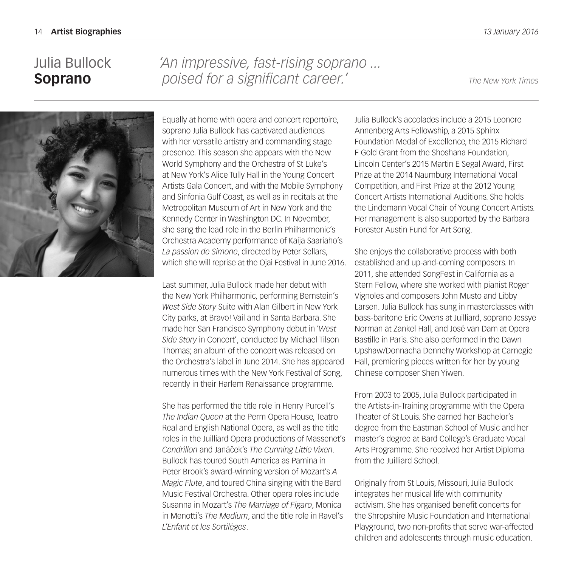### Julia Bullock **Soprano**

*'An impressive, fast-rising soprano ... poised for a significant career.' The New York Times*



Equally at home with opera and concert repertoire, soprano Julia Bullock has captivated audiences with her versatile artistry and commanding stage presence. This season she appears with the New World Symphony and the Orchestra of St Luke's at New York's Alice Tully Hall in the Young Concert Artists Gala Concert, and with the Mobile Symphony and Sinfonia Gulf Coast, as well as in recitals at the Metropolitan Museum of Art in New York and the Kennedy Center in Washington DC. In November, she sang the lead role in the Berlin Philharmonic's Orchestra Academy performance of Kaija Saariaho's *La passion de Simone*, directed by Peter Sellars, which she will reprise at the Ojai Festival in June 2016.

Last summer, Julia Bullock made her debut with the New York Philharmonic, performing Bernstein's *West Side Story* Suite with Alan Gilbert in New York City parks, at Bravo! Vail and in Santa Barbara. She made her San Francisco Symphony debut in '*West Side Story* in Concert', conducted by Michael Tilson Thomas; an album of the concert was released on the Orchestra's label in June 2014. She has appeared numerous times with the New York Festival of Song, recently in their Harlem Renaissance programme.

She has performed the title role in Henry Purcell's *The Indian Queen* at the Perm Opera House, Teatro Real and English National Opera, as well as the title roles in the Juilliard Opera productions of Massenet's *Cendrillon* and Janáček's The Cunning Little Vixen. Bullock has toured South America as Pamina in Peter Brook's award-winning version of Mozart's *A Magic Flute*, and toured China singing with the Bard Music Festival Orchestra. Other opera roles include Susanna in Mozart's *The Marriage of Figaro*, Monica in Menotti's *The Medium*, and the title role in Ravel's *L'Enfant et les Sortilèges*.

Julia Bullock's accolades include a 2015 Leonore Annenberg Arts Fellowship, a 2015 Sphinx Foundation Medal of Excellence, the 2015 Richard F Gold Grant from the Shoshana Foundation, Lincoln Center's 2015 Martin E Segal Award, First Prize at the 2014 Naumburg International Vocal Competition, and First Prize at the 2012 Young Concert Artists International Auditions. She holds the Lindemann Vocal Chair of Young Concert Artists. Her management is also supported by the Barbara Forester Austin Fund for Art Song.

She enjoys the collaborative process with both established and up-and-coming composers. In 2011, she attended SongFest in California as a Stern Fellow, where she worked with pianist Roger Vignoles and composers John Musto and Libby Larsen. Julia Bullock has sung in masterclasses with bass-baritone Eric Owens at Juilliard, soprano Jessye Norman at Zankel Hall, and José van Dam at Opera Bastille in Paris. She also performed in the Dawn Upshaw/Donnacha Dennehy Workshop at Carnegie Hall, premiering pieces written for her by young Chinese composer Shen Yiwen.

From 2003 to 2005, Julia Bullock participated in the Artists-in-Training programme with the Opera Theater of St Louis. She earned her Bachelor's degree from the Eastman School of Music and her master's degree at Bard College's Graduate Vocal Arts Programme. She received her Artist Diploma from the Juilliard School.

Originally from St Louis, Missouri, Julia Bullock integrates her musical life with community activism. She has organised benefit concerts for the Shropshire Music Foundation and International Playground, two non-profits that serve war-affected children and adolescents through music education.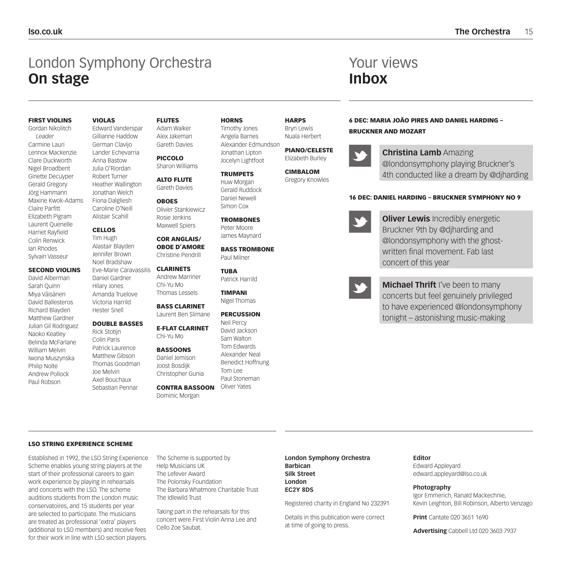### London Symphony Orchestra **On stage**

#### FIRST VIOLINS

Gordan Nikolitch *Leader* Carmine Lauri Lennox Mackenzie Clare Duckworth Nigel Broadbent Ginette Decuyper Gerald Gregory Jörg Hammann Maxine Kwok-Adams Claire Parfitt Elizabeth Pigram Laurent Quenelle Harriet Rayfield Colin Renwick Ian Rhodes Sylvain Vasseur

#### SECOND VIOLINS

David Alberman Sarah Quinn Miya Väisänen David Ballesteros Richard Blayden Matthew Gardner Julian Gil Rodriguez Naoko Keatley Belinda McFarlane William Melvin Iwona Muszynska Philip Nolte Andrew Pollock Paul Robson

#### VIOLAS

Edward Vanderspar Gillianne Haddow German Clavijo Lander Echevarria Anna Bastow Julia O'Riordan Robert Turner Heather Wallington Jonathan Welch Fiona Dalgliesh Caroline O'Neill Alistair Scahill

#### CELLOS

Tim Hugh Alastair Blayden Jennifer Brown Noel Bradshaw Eve-Marie Caravassilis Daniel Gardner Hilary Jones Amanda Truelove Victoria Harrild Hester Snell

#### DOUBLE BASSES Rick Stotijn

Colin Paris Patrick Laurence Matthew Gibson Thomas Goodman Joe Melvin Axel Bouchaux Sebastian Pennar

FLUTES Adam Walker

Alex Jakeman Gareth Davies PICCOLO

Sharon Williams ALTO FLUTE

> Gareth Davies OBOES Olivier Stankiewicz

Rosie Jenkins Maxwell Spiers

COR ANGLAIS/ OBOE D'AMORE Christine Pendrill

#### CLARINETS Andrew Marriner Chi-Yu Mo Thomas Lessels

BASS CLARINET

Laurent Ben Slimane

E-FLAT CLARINET Chi-Yu Mo

#### **BASSOONS** Daniel Jemison Joost Bosdijk Christopher Gunia

CONTRA BASSOON Dominic Morgan

HORNS Timothy Jones

Angela Barnes Alexander Edmundson Jonathan Lipton Jocelyn Lightfoot

#### **TRUMPETS** Huw Morgan

Gerald Ruddock Daniel Newell Simon Cox

**TROMBONES** Peter Moore James Maynard

BASS TROMBONE Paul Milner

TUBA Patrick Harrild

TIMPANI Nigel Thomas

#### **PERCUSSION**

Neil Percy David Jackson Sam Walton Tom Edwards Alexander Neal Benedict Hoffnung Tom Lee Paul Stoneman Oliver Yates

HARPS Bryn Lewis Nuala Herbert

> PIANO/CELESTE Elizabeth Burley

CIMBALOM Gregory Knowles 6 DEC: MARIA JOÃO PIRES AND DANIEL HARDING – BRUCKNER AND MOZART

Your views

**Inbox**

**Christina Lamb** Amazing @londonsymphony playing Bruckner's 4th conducted like a dream by @djharding

#### 16 DEC: DANIEL HARDING – BRUCKNER SYMPHONY NO 9

**Oliver Lewis** Incredibly energetic Bruckner 9th by @djharding and @londonsymphony with the ghostwritten final movement. Fab last concert of this year

**Michael Thrift** I've been to many concerts but feel genuinely privileged to have experienced @londonsymphony tonight – astonishing music-making

#### LSO STRING EXPERIENCE SCHEME

Established in 1992, the LSO String Experience Scheme enables young string players at the start of their professional careers to gain work experience by playing in rehearsals and concerts with the LSO. The scheme auditions students from the London music conservatoires, and 15 students per year are selected to participate. The musicians are treated as professional 'extra' players (additional to LSO members) and receive fees for their work in line with LSO section players.

The Scheme is supported by Help Musicians UK The Lefever Award The Polonsky Foundation The Barbara Whatmore Charitable Trust The Idlewild Trust

Taking part in the rehearsals for this concert were First Violin Anna Lee and Cello Zoe Saubat.

#### **London Symphony Orchestra Barbican Silk Street London EC2Y 8DS**

Registered charity in England No 232391

Details in this publication were correct at time of going to press.

### **Editor**

Edward Appleyard edward.appleyard@lso.co.uk

#### **Photography**

Igor Emmerich, Ranald Mackechnie, Kevin Leighton, Bill Robinson, Alberto Venzago

**Print** Cantate 020 3651 1690

**Advertising** Cabbell Ltd 020 3603 7937